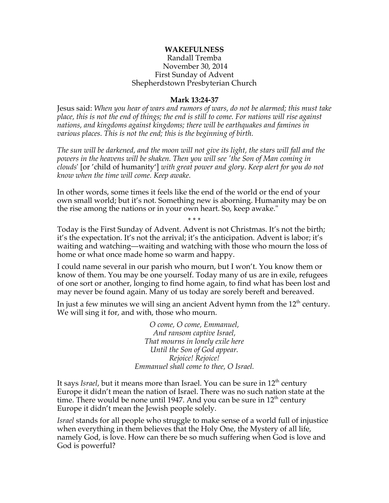## **WAKEFULNESS**

## Randall Tremba November 30, 2014 First Sunday of Advent Shepherdstown Presbyterian Church

## **Mark 13:24-37**

Jesus said: *When you hear of wars and rumors of wars, do not be alarmed; this must take place, this is not the end of things; the end is still to come. For nations will rise against nations, and kingdoms against kingdoms; there will be earthquakes and famines in various places. This is not the end; this is the beginning of birth.*

*The sun will be darkened, and the moon will not give its light, the stars will fall and the powers in the heavens will be shaken. Then you will see 'the Son of Man coming in clouds*' [or 'child of humanity'] *with great power and glory*. *Keep alert for you do not know when the time will come. Keep awake.*

In other words, some times it feels like the end of the world or the end of your own small world; but it's not. Something new is aborning. Humanity may be on the rise among the nations or in your own heart. So, keep awake."

\* \* \* Today is the First Sunday of Advent. Advent is not Christmas. It's not the birth; it's the expectation. It's not the arrival; it's the anticipation. Advent is labor; it's waiting and watching—waiting and watching with those who mourn the loss of home or what once made home so warm and happy.

I could name several in our parish who mourn, but I won't. You know them or know of them. You may be one yourself. Today many of us are in exile, refugees of one sort or another, longing to find home again, to find what has been lost and may never be found again. Many of us today are sorely bereft and bereaved.

In just a few minutes we will sing an ancient Advent hymn from the  $12<sup>th</sup>$  century. We will sing it for, and with, those who mourn.

> *O come, O come, Emmanuel, And ransom captive Israel, That mourns in lonely exile here Until the Son of God appear. Rejoice! Rejoice! Emmanuel shall come to thee, O Israel.*

It says *Israel*, but it means more than Israel. You can be sure in 12<sup>th</sup> century Europe it didn't mean the nation of Israel. There was no such nation state at the time. There would be none until 1947. And you can be sure in  $12<sup>th</sup>$  century Europe it didn't mean the Jewish people solely.

*Israel* stands for all people who struggle to make sense of a world full of injustice when everything in them believes that the Holy One, the Mystery of all life, namely God, is love. How can there be so much suffering when God is love and God is powerful?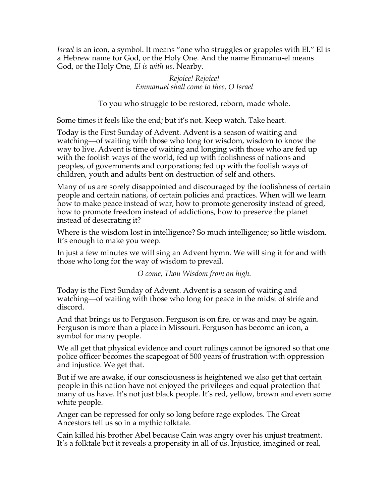*Israel* is an icon, a symbol. It means "one who struggles or grapples with El." El is a Hebrew name for God, or the Holy One. And the name Emmanu-el means God, or the Holy One, *El is with us.* Nearby.

> *Rejoice! Rejoice! Emmanuel shall come to thee, O Israel*

To you who struggle to be restored, reborn, made whole.

Some times it feels like the end; but it's not. Keep watch. Take heart.

Today is the First Sunday of Advent. Advent is a season of waiting and watching—of waiting with those who long for wisdom, wisdom to know the way to live. Advent is time of waiting and longing with those who are fed up with the foolish ways of the world, fed up with foolishness of nations and peoples, of governments and corporations; fed up with the foolish ways of children, youth and adults bent on destruction of self and others.

Many of us are sorely disappointed and discouraged by the foolishness of certain people and certain nations, of certain policies and practices. When will we learn how to make peace instead of war, how to promote generosity instead of greed, how to promote freedom instead of addictions, how to preserve the planet instead of desecrating it?

Where is the wisdom lost in intelligence? So much intelligence; so little wisdom. It's enough to make you weep.

In just a few minutes we will sing an Advent hymn. We will sing it for and with those who long for the way of wisdom to prevail.

*O come, Thou Wisdom from on high.*

Today is the First Sunday of Advent. Advent is a season of waiting and watching—of waiting with those who long for peace in the midst of strife and discord.

And that brings us to Ferguson. Ferguson is on fire, or was and may be again. Ferguson is more than a place in Missouri. Ferguson has become an icon, a symbol for many people.

We all get that physical evidence and court rulings cannot be ignored so that one police officer becomes the scapegoat of 500 years of frustration with oppression and injustice. We get that.

But if we are awake, if our consciousness is heightened we also get that certain people in this nation have not enjoyed the privileges and equal protection that many of us have. It's not just black people. It's red, yellow, brown and even some white people.

Anger can be repressed for only so long before rage explodes. The Great Ancestors tell us so in a mythic folktale.

Cain killed his brother Abel because Cain was angry over his unjust treatment. It's a folktale but it reveals a propensity in all of us. Injustice, imagined or real,